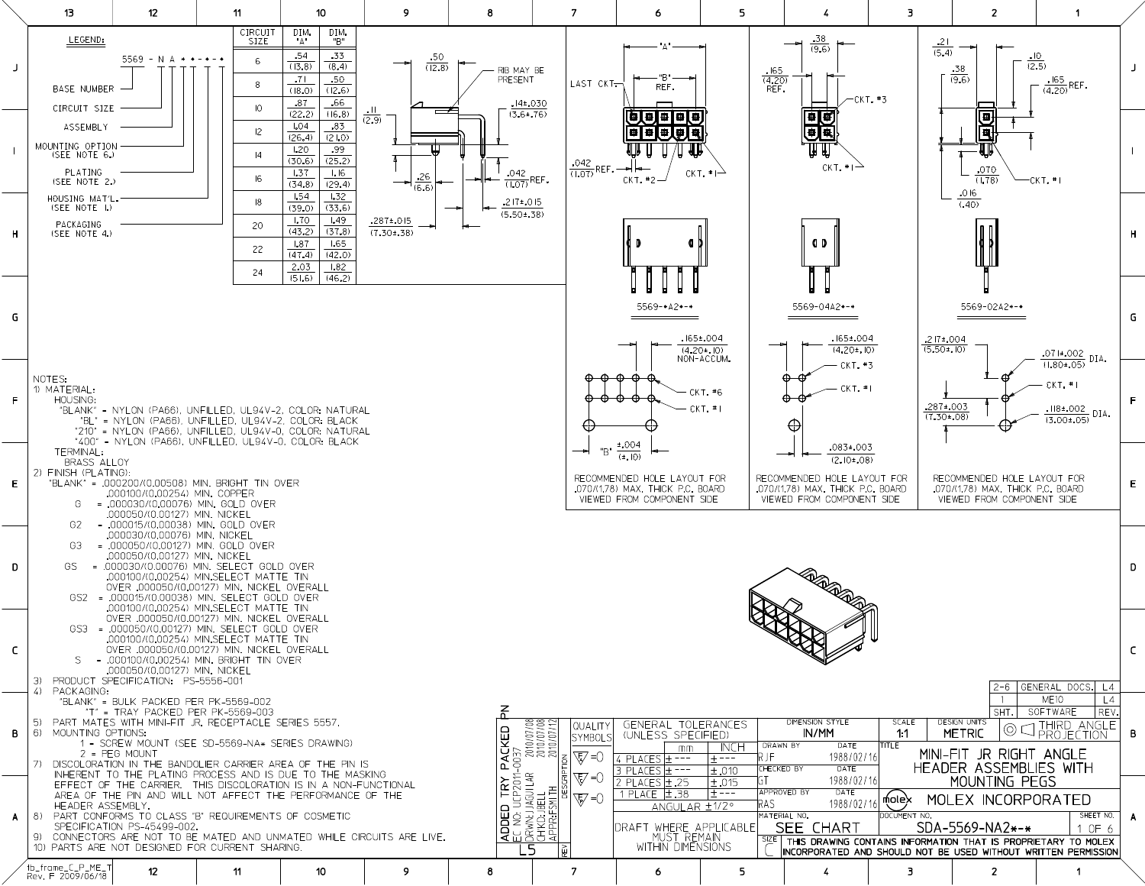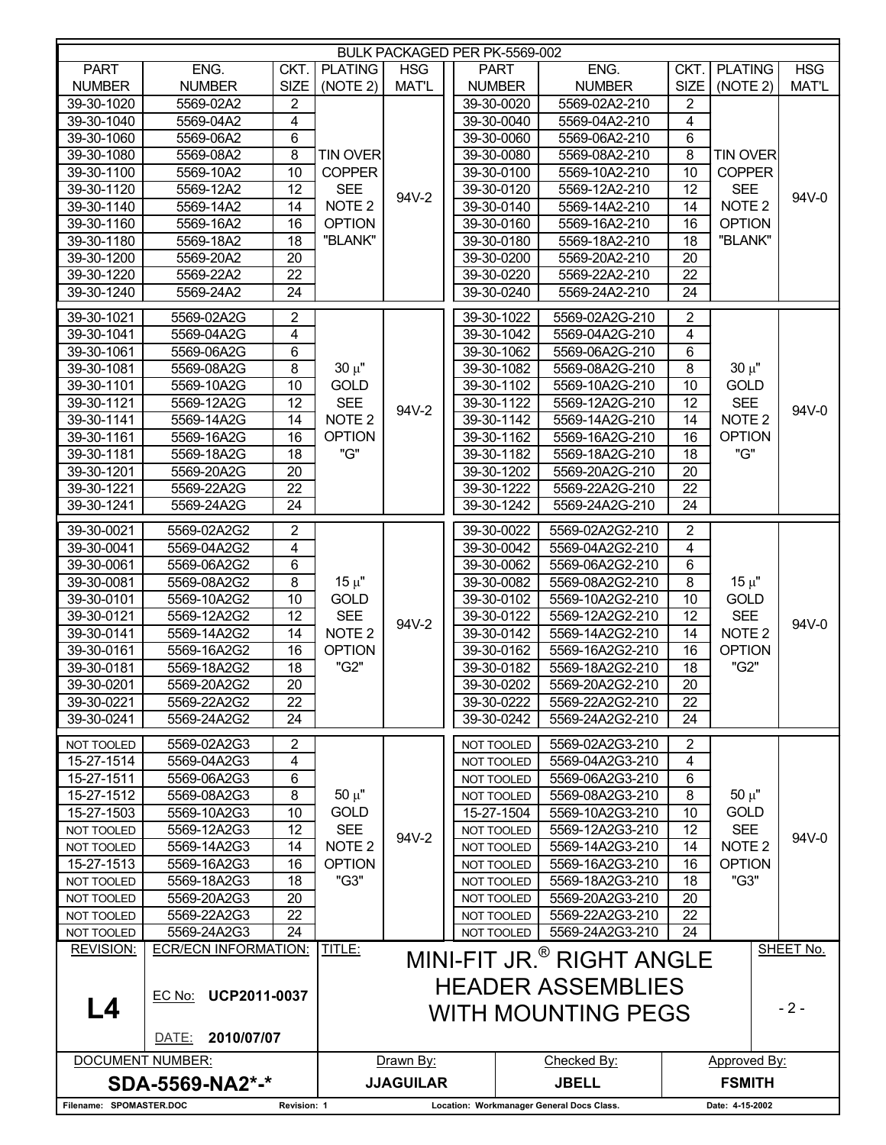| <b>BULK PACKAGED PER PK-5569-002</b>   |                                            |                                           |                           |                  |  |                          |                                                       |                     |                                                                         |              |  |
|----------------------------------------|--------------------------------------------|-------------------------------------------|---------------------------|------------------|--|--------------------------|-------------------------------------------------------|---------------------|-------------------------------------------------------------------------|--------------|--|
| <b>PART</b>                            | ENG.                                       | CKT.                                      | <b>PLATING</b>            | <b>HSG</b>       |  | <b>PART</b>              | ENG.                                                  | CKT.                | <b>PLATING</b>                                                          | <b>HSG</b>   |  |
| <b>NUMBER</b>                          | <b>NUMBER</b>                              | <b>SIZE</b>                               | (NOTE 2)                  | <b>MAT'L</b>     |  | <b>NUMBER</b>            | <b>NUMBER</b>                                         | <b>SIZE</b>         | (NOTE 2)                                                                | <b>MAT'L</b> |  |
| 39-30-1020                             | 5569-02A2                                  | 2                                         |                           |                  |  | 39-30-0020               | 5569-02A2-210                                         | 2                   |                                                                         |              |  |
| 39-30-1040                             | 5569-04A2                                  | $\overline{\mathbf{4}}$                   |                           |                  |  | 39-30-0040               | 5569-04A2-210                                         | 4                   |                                                                         |              |  |
| 39-30-1060                             | 5569-06A2                                  | 6                                         |                           |                  |  | 39-30-0060               | 5569-06A2-210                                         | 6                   |                                                                         |              |  |
| 39-30-1080                             | 5569-08A2                                  | 8                                         | <b>TIN OVER</b>           |                  |  | 39-30-0080               | 5569-08A2-210                                         | 8                   | <b>TIN OVER</b>                                                         |              |  |
| $39 - 30 - 1100$                       | 5569-10A2                                  | $\overline{10}$                           | <b>COPPER</b>             |                  |  | 39-30-0100               | 5569-10A2-210                                         | 10                  | <b>COPPER</b><br><b>SEE</b><br>NOTE <sub>2</sub>                        |              |  |
| $39-30-1120$                           | 5569-12A2                                  | 12                                        | <b>SEE</b>                |                  |  | 39-30-0120               | 5569-12A2-210                                         | 12                  |                                                                         |              |  |
| 39-30-1140                             | 5569-14A2                                  | 14                                        | NOTE <sub>2</sub>         | 94V-2            |  | 39-30-0140               | 5569-14A2-210                                         | 14                  |                                                                         | 94V-0        |  |
| 39-30-1160                             | 5569-16A2                                  | 16                                        | <b>OPTION</b><br>"BLANK"  |                  |  | 39-30-0160               | 5569-16A2-210                                         | 16                  | <b>OPTION</b>                                                           |              |  |
| 39-30-1180                             | 5569-18A2                                  | 18                                        |                           |                  |  | 39-30-0180               | 5569-18A2-210                                         | 18                  | "BLANK"                                                                 |              |  |
| 39-30-1200                             | 5569-20A2                                  | 20                                        |                           |                  |  | 39-30-0200               | 5569-20A2-210                                         | 20                  |                                                                         |              |  |
| 39-30-1220                             | 5569-22A2                                  | 22                                        |                           |                  |  | 39-30-0220               | 5569-22A2-210                                         | 22                  |                                                                         |              |  |
| 39-30-1240                             | 5569-24A2                                  | 24                                        |                           |                  |  | 39-30-0240               | 5569-24A2-210                                         | 24                  |                                                                         |              |  |
| 39-30-1021                             |                                            |                                           |                           |                  |  | 39-30-1022               |                                                       |                     |                                                                         |              |  |
| 39-30-1041                             | 5569-02A2G                                 | $\overline{2}$<br>$\overline{\mathbf{4}}$ |                           |                  |  | 39-30-1042               | 5569-02A2G-210<br>5569-04A2G-210                      | $\overline{2}$<br>4 |                                                                         |              |  |
| 39-30-1061                             | 5569-04A2G                                 |                                           |                           |                  |  | 39-30-1062               |                                                       | $\,6$               |                                                                         |              |  |
| 39-30-1081                             | 5569-06A2G<br>5569-08A2G                   | 6<br>8                                    | $30 \mu"$                 |                  |  | 39-30-1082               | 5569-06A2G-210<br>5569-08A2G-210                      | 8                   | $30 \mu$ "                                                              |              |  |
| 39-30-1101                             | 5569-10A2G                                 | 10                                        | <b>GOLD</b>               |                  |  | 39-30-1102               | 5569-10A2G-210                                        | 10                  | <b>GOLD</b>                                                             |              |  |
| $39-30-1121$                           |                                            | 12                                        | <b>SEE</b>                |                  |  |                          |                                                       | 12                  | <b>SEE</b>                                                              | 94V-0        |  |
| $39 - 30 - 1141$                       | 5569-12A2G<br>5569-14A2G                   | 14                                        | NOTE <sub>2</sub>         | 94V-2            |  | 39-30-1122<br>39-30-1142 | 5569-12A2G-210<br>5569-14A2G-210                      | 14                  | NOTE <sub>2</sub>                                                       |              |  |
| 39-30-1161                             | 5569-16A2G                                 | 16                                        | <b>OPTION</b>             |                  |  | 39-30-1162               | 5569-16A2G-210                                        | 16                  |                                                                         |              |  |
| 39-30-1181                             | 5569-18A2G                                 | 18                                        | "G"                       |                  |  | 39-30-1182               | 5569-18A2G-210                                        | 18                  | <b>OPTION</b><br>"G"                                                    |              |  |
| 39-30-1201                             | 5569-20A2G                                 | 20                                        |                           |                  |  | 39-30-1202               | 5569-20A2G-210                                        | 20                  |                                                                         |              |  |
| 39-30-1221                             | 5569-22A2G                                 | $\overline{22}$                           |                           |                  |  | 39-30-1222               | 5569-22A2G-210                                        | 22                  |                                                                         |              |  |
| 39-30-1241                             | 5569-24A2G                                 | 24                                        |                           |                  |  | 39-30-1242               | 5569-24A2G-210                                        | 24                  |                                                                         |              |  |
|                                        |                                            |                                           |                           |                  |  |                          |                                                       |                     |                                                                         |              |  |
| 39-30-0021                             | 5569-02A2G2                                | $\overline{2}$                            |                           |                  |  | 39-30-0022               | 5569-02A2G2-210                                       | $\overline{2}$      |                                                                         |              |  |
| 39-30-0041                             | 5569-04A2G2                                | $\overline{4}$                            | $15 \mu$ "<br><b>GOLD</b> |                  |  | 39-30-0042               | 5569-04A2G2-210                                       | 4                   |                                                                         |              |  |
| 39-30-0061                             | 5569-06A2G2                                | 6                                         |                           |                  |  | 39-30-0062               | 5569-06A2G2-210                                       | $\,6$               |                                                                         | 94V-0        |  |
| 39-30-0081                             | 5569-08A2G2                                | 8                                         |                           |                  |  | 39-30-0082               | 5569-08A2G2-210                                       | 8                   | $15 \mu$ "                                                              |              |  |
| 39-30-0101                             | 5569-10A2G2                                | 10                                        |                           |                  |  | 39-30-0102               | 5569-10A2G2-210                                       | 10                  | <b>GOLD</b><br><b>SEE</b><br>NOTE <sub>2</sub><br><b>OPTION</b><br>"G2" |              |  |
| 39-30-0121                             | 5569-12A2G2                                | 12                                        | <b>SEE</b>                | 94V-2            |  | 39-30-0122               | 5569-12A2G2-210                                       | 12                  |                                                                         |              |  |
| 39-30-0141                             | 5569-14A2G2                                | 14                                        | NOTE <sub>2</sub>         |                  |  | 39-30-0142               | 5569-14A2G2-210                                       | 14                  |                                                                         |              |  |
| 39-30-0161                             | 5569-16A2G2                                | 16                                        | <b>OPTION</b>             |                  |  | 39-30-0162               | 5569-16A2G2-210                                       | 16                  |                                                                         |              |  |
| 39-30-0181                             | 5569-18A2G2                                | 18                                        | "G2"                      |                  |  | 39-30-0182               | 5569-18A2G2-210                                       | 18                  |                                                                         |              |  |
| 39-30-0201                             | 5569-20A2G2                                | $\overline{20}$                           |                           |                  |  | 39-30-0202               | 5569-20A2G2-210                                       | $\overline{20}$     |                                                                         |              |  |
| 39-30-0221                             | 5569-22A2G2                                | 22                                        |                           |                  |  | 39-30-0222               | 5569-22A2G2-210                                       | 22                  |                                                                         |              |  |
| 39-30-0241                             | 5569-24A2G2                                | 24                                        |                           |                  |  | 39-30-0242               | 5569-24A2G2-210                                       | 24                  |                                                                         |              |  |
| NOT TOOLED                             | 5569-02A2G3                                | $\overline{c}$                            |                           |                  |  | NOT TOOLED               | 5569-02A2G3-210                                       | 2                   |                                                                         |              |  |
| 15-27-1514                             | 5569-04A2G3                                | 4                                         |                           |                  |  | NOT TOOLED               | 5569-04A2G3-210                                       | 4                   |                                                                         |              |  |
| 15-27-1511                             | 5569-06A2G3                                | 6                                         |                           |                  |  | NOT TOOLED               | 5569-06A2G3-210                                       | 6                   |                                                                         |              |  |
| 15-27-1512                             | 5569-08A2G3                                | 8                                         | $50 \mu"$                 |                  |  | NOT TOOLED               | 5569-08A2G3-210                                       | 8                   | $50 \mu$ "                                                              |              |  |
| 15-27-1503                             | 5569-10A2G3                                | 10                                        | <b>GOLD</b>               |                  |  | 15-27-1504               | 5569-10A2G3-210                                       | 10                  | <b>GOLD</b>                                                             |              |  |
| <b>NOT TOOLED</b>                      | 5569-12A2G3                                | 12                                        | <b>SEE</b>                | 94V-2            |  | NOT TOOLED               | 5569-12A2G3-210                                       | 12                  | <b>SEE</b>                                                              |              |  |
| NOT TOOLED                             | 5569-14A2G3                                | 14                                        | NOTE <sub>2</sub>         |                  |  | NOT TOOLED               | 5569-14A2G3-210                                       | 14                  | NOTE <sub>2</sub>                                                       | 94V-0        |  |
| 15-27-1513                             | 5569-16A2G3                                | 16                                        | <b>OPTION</b>             |                  |  | <b>NOT TOOLED</b>        | 5569-16A2G3-210                                       | 16                  | <b>OPTION</b>                                                           |              |  |
| NOT TOOLED                             | 5569-18A2G3                                | 18                                        | "G3"                      |                  |  | NOT TOOLED               | 5569-18A2G3-210                                       | 18                  | "G3"                                                                    |              |  |
| NOT TOOLED                             | 5569-20A2G3                                | 20                                        |                           |                  |  | NOT TOOLED               | 5569-20A2G3-210                                       | 20                  |                                                                         |              |  |
| NOT TOOLED                             | 5569-22A2G3                                | 22                                        |                           |                  |  | NOT TOOLED               | 5569-22A2G3-210                                       | 22                  |                                                                         |              |  |
| NOT TOOLED                             | 5569-24A2G3                                | 24                                        |                           |                  |  | NOT TOOLED               | 5569-24A2G3-210                                       | 24                  |                                                                         |              |  |
| <b>REVISION:</b>                       | <b>ECR/ECN INFORMATION:</b>                |                                           | TITLE:                    |                  |  |                          | MINI-FIT JR. <sup>®</sup> RIGHT ANGLE                 |                     |                                                                         | SHEET No.    |  |
| L4                                     | EC No: UCP2011-0037<br>2010/07/07<br>DATE: |                                           |                           |                  |  |                          | <b>HEADER ASSEMBLIES</b><br><b>WITH MOUNTING PEGS</b> |                     |                                                                         | $-2-$        |  |
| <b>DOCUMENT NUMBER:</b>                |                                            |                                           |                           | Drawn By:        |  | Checked By:              |                                                       |                     | Approved By:                                                            |              |  |
|                                        | SDA-5569-NA2*-*                            |                                           |                           | <b>JJAGUILAR</b> |  |                          | <b>JBELL</b>                                          |                     | <b>FSMITH</b>                                                           |              |  |
| Filename: SPOMASTER.DOC<br>Revision: 1 |                                            |                                           |                           |                  |  |                          | Location: Workmanager General Docs Class.             |                     | Date: 4-15-2002                                                         |              |  |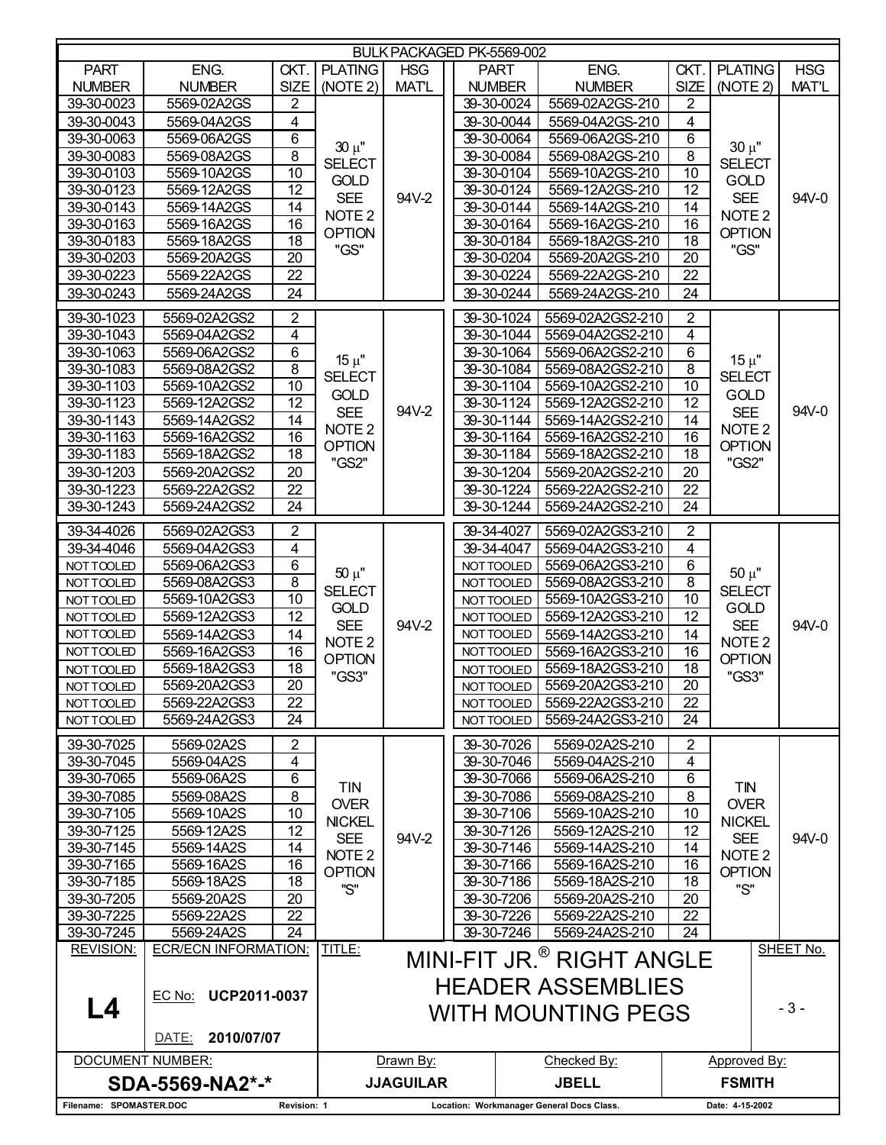| BULK PACKAGED PK-5569-002              |                                            |                         |                                           |                          |             |                          |                                                                                                |                         |                        |              |  |  |
|----------------------------------------|--------------------------------------------|-------------------------|-------------------------------------------|--------------------------|-------------|--------------------------|------------------------------------------------------------------------------------------------|-------------------------|------------------------|--------------|--|--|
| <b>PART</b>                            | ENG.                                       | CKT.                    | <b>PLATING</b>                            | <b>HSG</b>               | <b>PART</b> |                          | ENG.                                                                                           | CKT.                    | <b>PLATING</b>         | <b>HSG</b>   |  |  |
| <b>NUMBER</b>                          | <b>NUMBER</b>                              | <b>SIZE</b>             | (NOTE 2)                                  | <b>MATL</b>              |             | <b>NUMBER</b>            | <b>NUMBER</b>                                                                                  | <b>SIZE</b>             | (NOTE 2)               | <b>MAT'L</b> |  |  |
| 39-30-0023                             | 5569-02A2GS                                | 2                       |                                           |                          |             | 39-30-0024               | 5569-02A2GS-210                                                                                | 2                       |                        |              |  |  |
| 39-30-0043                             | 5569-04A2GS                                | $\overline{\mathbf{4}}$ |                                           |                          |             | 39-30-0044               | 5569-04A2GS-210                                                                                | 4                       |                        |              |  |  |
| 39-30-0063                             | 5569-06A2GS                                | 6                       |                                           |                          |             | 39-30-0064               | 5569-06A2GS-210                                                                                | 6                       |                        |              |  |  |
| 39-30-0083                             | 5569-08A2GS                                | $\overline{8}$          | $30 \mu$ "                                |                          |             | 39-30-0084               | 5569-08A2GS-210                                                                                | $\overline{8}$          | $30 \mu$ "             |              |  |  |
| 39-30-0103                             | 5569-10A2GS                                | $\overline{10}$         | <b>SELECT</b>                             |                          |             | 39-30-0104               | 5569-10A2GS-210                                                                                | $\overline{10}$         | <b>SELECT</b>          |              |  |  |
| 39-30-0123                             | 5569-12A2GS                                | $\overline{12}$         | <b>GOLD</b>                               | 94V-2                    |             | 39-30-0124               | 5569-12A2GS-210                                                                                | 12                      | <b>GOLD</b>            |              |  |  |
| 39-30-0143                             | 5569-14A2GS                                | 14                      | <b>SEE</b>                                |                          |             | 39-30-0144               | 5569-14A2GS-210                                                                                | 14                      | <b>SEE</b>             | 94V-0        |  |  |
| 39-30-0163                             | 5569-16A2GS                                | 16                      | NOTE <sub>2</sub><br><b>OPTION</b>        |                          |             | 39-30-0164               | 5569-16A2GS-210                                                                                | 16                      | NOTE <sub>2</sub>      |              |  |  |
| 39-30-0183                             | 5569-18A2GS                                | 18                      | "GS"                                      |                          |             | 39-30-0184               | 5569-18A2GS-210                                                                                | 18                      | <b>OPTION</b><br>"GS"  |              |  |  |
| 39-30-0203                             | 5569-20A2GS                                | 20                      |                                           |                          |             | 39-30-0204               | 5569-20A2GS-210                                                                                | 20                      |                        |              |  |  |
| 39-30-0223                             | 5569-22A2GS                                | 22                      |                                           |                          |             | 39-30-0224               | 5569-22A2GS-210                                                                                | 22                      |                        |              |  |  |
| 39-30-0243                             | 5569-24A2GS                                | 24                      |                                           |                          |             | 39-30-0244               | 5569-24A2GS-210                                                                                | 24                      |                        |              |  |  |
| 39-30-1023                             | 5569-02A2GS2                               | $\overline{2}$          |                                           |                          |             | 39-30-1024               | 5569-02A2GS2-210                                                                               | $\overline{2}$          |                        |              |  |  |
| 39-30-1043                             | 5569-04A2GS2                               | 4                       |                                           |                          |             | 39-30-1044               | 5569-04A2GS2-210                                                                               | $\overline{\mathbf{4}}$ |                        |              |  |  |
| 39-30-1063                             | 5569-06A2GS2                               | 6                       | $15 \mu$ "                                |                          |             | 39-30-1064               | 5569-06A2GS2-210                                                                               | $\overline{6}$          | $15 \mu$ "             |              |  |  |
| 39-30-1083                             | 5569-08A2GS2                               | $\,8\,$                 | <b>SELECT</b>                             |                          |             | 39-30-1084               | 5569-08A2GS2-210                                                                               | $\bf 8$                 | <b>SELECT</b>          |              |  |  |
| 39-30-1103                             | 5569-10A2GS2                               | $\overline{10}$         | <b>GOLD</b>                               |                          |             | 39-30-1104               | 5569-10A2GS2-210                                                                               | $\overline{10}$         | GOLD                   | 94V-0        |  |  |
| 39-30-1123                             | 5569-12A2GS2                               | $\overline{12}$         | <b>SEE</b>                                | 94V-2                    |             | 39-30-1124               | 5569-12A2GS2-210                                                                               | $\overline{12}$         | <b>SEE</b>             |              |  |  |
| 39-30-1143                             | 5569-14A2GS2                               | 14                      | NOTE <sub>2</sub>                         |                          |             | $39 - 30 - 1144$         | 5569-14A2GS2-210                                                                               | 14                      | NOTE <sub>2</sub>      |              |  |  |
| 39-30-1163                             | 5569-16A2GS2                               | 16                      | <b>OPTION</b>                             |                          |             | 39-30-1164               | 5569-16A2GS2-210                                                                               | 16                      | <b>OPTION</b><br>"GS2" |              |  |  |
| 39-30-1183                             | 5569-18A2GS2                               | $\overline{18}$         | "GS2"                                     |                          |             | 39-30-1184               | 5569-18A2GS2-210                                                                               | 18                      |                        |              |  |  |
| 39-30-1203                             | 5569-20A2GS2                               | 20                      |                                           |                          |             | 39-30-1204               | 5569-20A2GS2-210                                                                               | 20                      |                        |              |  |  |
| 39-30-1223                             | 5569-22A2GS2                               | $\overline{22}$         |                                           |                          |             | 39-30-1224               | 5569-22A2GS2-210                                                                               | $\overline{22}$         |                        |              |  |  |
| 39-30-1243                             | 5569-24A2GS2                               | 24                      |                                           |                          |             | 39-30-1244               | 5569-24A2GS2-210                                                                               | 24                      |                        |              |  |  |
| 39-34-4026                             | 5569-02A2GS3                               | $\overline{2}$          |                                           |                          |             | 39-34-4027               | 5569-02A2GS3-210                                                                               | $\overline{c}$          |                        |              |  |  |
| 39-34-4046                             | 5569-04A2GS3                               | $\overline{4}$          |                                           |                          |             | 39-34-4047               | 5569-04A2GS3-210                                                                               | $\overline{4}$          | $50 \mu"$              |              |  |  |
| NOT TOOLED                             | 5569-06A2GS3                               | 6                       | $50 \mu"$<br><b>SELECT</b><br><b>GOLD</b> |                          |             | NOT TOOLED               | 5569-06A2GS3-210                                                                               | $\overline{6}$          |                        |              |  |  |
| NOT TOOLED                             | 5569-08A2GS3                               | $\overline{8}$          |                                           |                          |             | NOT TOOLED               | 5569-08A2GS3-210                                                                               | $\,8\,$                 | <b>SELECT</b>          | 94V-0        |  |  |
| NOTTOOLED                              | 5569-10A2GS3                               | 10                      |                                           |                          |             | NOT TOOLED               | 5569-10A2GS3-210                                                                               | 10                      | <b>GOLD</b>            |              |  |  |
| NOTTOOLED                              | 5569-12A2GS3                               | $\overline{12}$         | <b>SEE</b>                                | 94V-2                    |             | NOT TOOLED               | 5569-12A2GS3-210                                                                               | 12                      | <b>SEE</b>             |              |  |  |
| NOT TOOLED                             | 5569-14A2GS3                               | 14                      | NOTE <sub>2</sub>                         |                          |             | NOT TOOLED               | 5569-14A2GS3-210                                                                               | 14                      | NOTE <sub>2</sub>      |              |  |  |
| NOT TOOLED                             | 5569-16A2GS3                               | 16                      | <b>OPTION</b>                             |                          |             | NOT TOOLED               | 5569-16A2GS3-210                                                                               | 16                      | <b>OPTION</b>          |              |  |  |
| NOT TOOLED                             | 5569-18A2GS3                               | 18                      | "GS3"                                     |                          |             | NOT TOOLED               | 5569-18A2GS3-210                                                                               | 18                      | "GS3"                  |              |  |  |
| NOTTOOLED                              | 5569-20A2GS3                               | $\overline{20}$         |                                           |                          |             | NOT TOOLED               | 5569-20A2GS3-210                                                                               | $\overline{20}$         |                        |              |  |  |
| NOT TOOLED                             | 5569-22A2GS3                               | 22                      |                                           |                          |             | NOT TOOLED               | 5569-22A2GS3-210                                                                               | 22                      |                        |              |  |  |
| NOT TOOLED                             | 5569-24A2GS3                               | 24                      |                                           |                          |             | NOT TOOLED               | 5569-24A2GS3-210                                                                               | 24                      |                        |              |  |  |
| 39-30-7025                             | 5569-02A2S                                 | $\overline{2}$          |                                           |                          |             | 39-30-7026               | 5569-02A2S-210                                                                                 | $\overline{c}$          |                        |              |  |  |
| 39-30-7045                             | 5569-04A2S                                 | 4                       |                                           |                          |             | 39-30-7046               | 5569-04A2S-210                                                                                 | 4                       |                        |              |  |  |
| 39-30-7065                             | 5569-06A2S                                 | 6                       | <b>TIN</b>                                |                          |             | 39-30-7066               | 5569-06A2S-210                                                                                 | 6                       | TIN                    |              |  |  |
| 39-30-7085                             | 5569-08A2S                                 | 8                       | <b>OVER</b>                               |                          |             | 39-30-7086               | 5569-08A2S-210                                                                                 | 8                       | <b>OVER</b>            |              |  |  |
| 39-30-7105                             | 5569-10A2S                                 | 10                      | <b>NICKEL</b>                             |                          |             | 39-30-7106               | 5569-10A2S-210                                                                                 | 10                      | <b>NICKEL</b>          |              |  |  |
| 39-30-7125                             | 5569-12A2S                                 | 12                      | <b>SEE</b>                                | 94V-2                    |             | 39-30-7126               | 5569-12A2S-210                                                                                 | 12                      | <b>SEE</b>             | 94V-0        |  |  |
| 39-30-7145                             | 5569-14A2S                                 | 14                      | NOTE <sub>2</sub>                         |                          |             | 39-30-7146               | 5569-14A2S-210                                                                                 | 14                      | NOTE <sub>2</sub>      |              |  |  |
| 39-30-7165                             | 5569-16A2S                                 | 16                      | <b>OPTION</b>                             |                          |             | 39-30-7166               | 5569-16A2S-210                                                                                 | 16                      | <b>OPTION</b>          |              |  |  |
| 39-30-7185                             | 5569-18A2S                                 | 18                      | "S"                                       |                          |             | 39-30-7186               | 5569-18A2S-210                                                                                 | 18                      | "S"                    |              |  |  |
| 39-30-7205                             | 5569-20A2S                                 | 20                      |                                           |                          |             | 39-30-7206               | 5569-20A2S-210                                                                                 | 20                      |                        |              |  |  |
| 39-30-7225<br>39-30-7245               | 5569-22A2S<br>5569-24A2S                   | 22<br>24                |                                           |                          |             | 39-30-7226<br>39-30-7246 | 5569-22A2S-210<br>5569-24A2S-210                                                               | 22<br>$\overline{24}$   |                        |              |  |  |
| <b>REVISION:</b>                       | <b>ECR/ECN INFORMATION:</b>                |                         | TITLE:                                    |                          |             |                          |                                                                                                |                         |                        | SHEET No.    |  |  |
| L4                                     | EC No: UCP2011-0037<br>2010/07/07<br>DATE: |                         |                                           |                          |             |                          | MINI-FIT JR. <sup>®</sup> RIGHT ANGLE<br><b>HEADER ASSEMBLIES</b><br><b>WITH MOUNTING PEGS</b> |                         |                        | $-3-$        |  |  |
| <b>DOCUMENT NUMBER:</b>                |                                            |                         |                                           | Drawn By:<br>Checked By: |             |                          |                                                                                                |                         | Approved By:           |              |  |  |
|                                        | SDA-5569-NA2*-*                            |                         |                                           | <b>JJAGUILAR</b>         |             |                          | <b>JBELL</b>                                                                                   | <b>FSMITH</b>           |                        |              |  |  |
| Filename: SPOMASTER.DOC<br>Revision: 1 |                                            |                         |                                           |                          |             |                          | Location: Workmanager General Docs Class.                                                      |                         | Date: 4-15-2002        |              |  |  |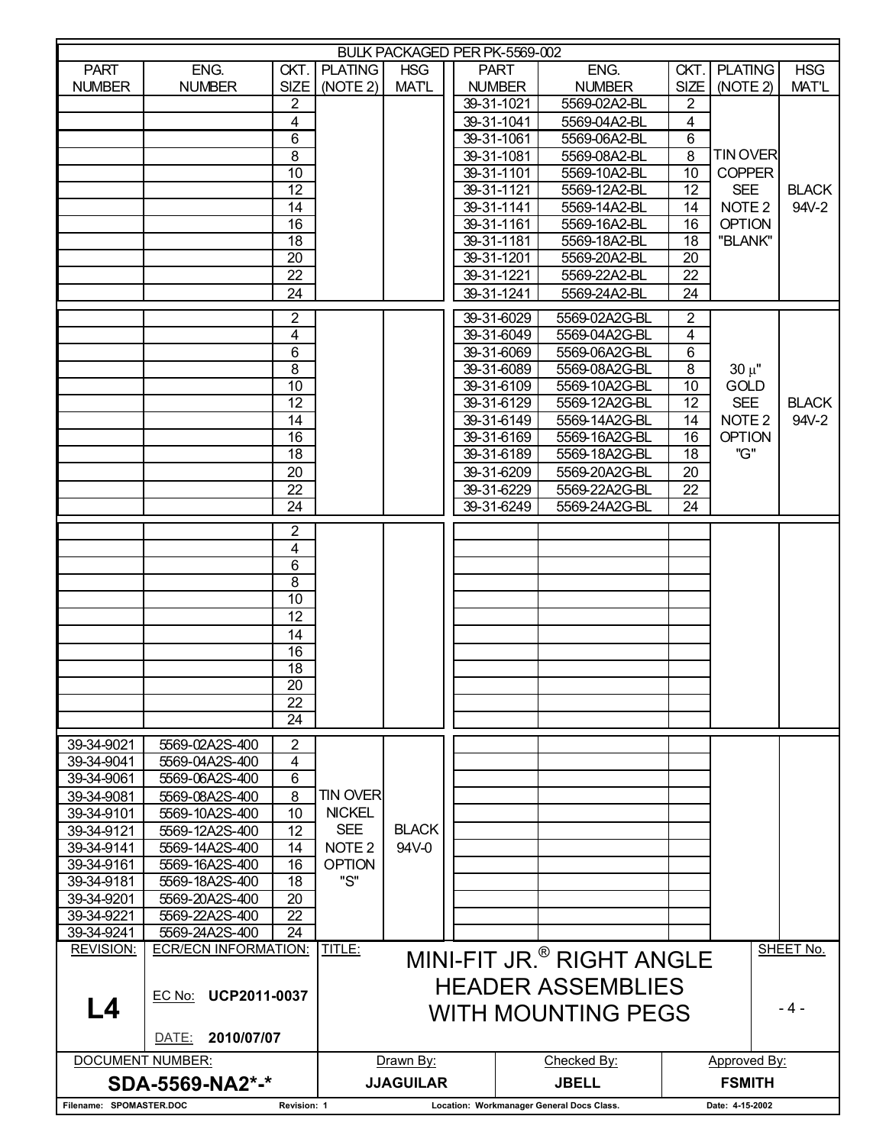| BULK PACKAGED PER PK-5569-002          |                                  |                                           |                   |                  |  |                           |                                           |                   |                     |              |
|----------------------------------------|----------------------------------|-------------------------------------------|-------------------|------------------|--|---------------------------|-------------------------------------------|-------------------|---------------------|--------------|
| <b>PART</b>                            | ENG.                             |                                           | CKT. PLATING      | <b>HSG</b>       |  | <b>PART</b>               | ENG.                                      | CKT.              | <b>PLATING</b>      | <b>HSG</b>   |
| <b>NUMBER</b>                          | <b>NUMBER</b>                    | SIZE <sup>1</sup>                         | (NOTE 2)          | <b>MATL</b>      |  | <b>NUMBER</b>             | <b>NUMBER</b>                             | SIZE <sup>1</sup> | (NOTE 2)            | <b>MAT'L</b> |
|                                        |                                  | 2                                         |                   |                  |  | 39-31-1021                | 5569-02A2-BL                              | 2                 |                     |              |
|                                        |                                  | $\overline{4}$                            |                   |                  |  | 39-31-1041                | 5569-04A2-BL                              | 4                 |                     |              |
|                                        |                                  | 6                                         |                   |                  |  | 39-31-1061                | 5569-06A2-BL                              | 6                 |                     |              |
|                                        |                                  | 8                                         |                   |                  |  | 39-31-1081                | 5569-08A2-BL                              | 8                 | <b>TINOVER</b>      |              |
|                                        |                                  | 10                                        |                   |                  |  | 39-31-1101                | 5569-10A2-BL                              | 10                | <b>COPPER</b>       |              |
|                                        |                                  | 12                                        |                   |                  |  | 39-31-1121                | 5569-12A2-BL                              | 12 <sup>2</sup>   | <b>SEE</b>          | <b>BLACK</b> |
|                                        |                                  | 14                                        |                   |                  |  | 39-31-1141                | 5569-14A2-BL                              | 14                | NOTE <sub>2</sub>   | 94V-2        |
|                                        |                                  | 16                                        |                   |                  |  | 39-31-1161                | 5569-16A2-BL                              | 16                | <b>OPTION</b>       |              |
|                                        |                                  | $\overline{18}$                           |                   |                  |  | 39-31-1181                | 5569-18A2-BL                              | 18                | "BLANK"             |              |
|                                        |                                  | 20                                        |                   |                  |  | 39-31-1201                | 5569-20A2-BL                              | 20                |                     |              |
|                                        |                                  | 22                                        |                   |                  |  | 39-31-1221                | 5569-22A2-BL                              | 22                |                     |              |
|                                        |                                  | 24                                        |                   |                  |  | 39-31-1241                | 5569-24A2-BL                              | 24                |                     |              |
|                                        |                                  | 2                                         |                   |                  |  | $39-31-6029$              | 5569-02A2G-BL                             | $\overline{2}$    |                     |              |
|                                        |                                  | 4                                         |                   |                  |  | 39-31-6049                | 5569-04A2G-BL                             | 4                 |                     |              |
|                                        |                                  | 6                                         |                   |                  |  | 39-31-6069                | 5569-06A2G-BL                             | 6                 |                     |              |
|                                        |                                  | 8                                         |                   |                  |  | 39-31-6089                | 5569-08A2G-BL                             | 8                 | $30 \mu$ "          |              |
|                                        |                                  | 10                                        |                   |                  |  | 39-31-6109                | 5569-10A2G-BL                             | 10                | GOLD                |              |
|                                        |                                  | $\overline{12}$                           |                   |                  |  | 39-31-6129                | 5569-12A2G-BL                             | 12                | <b>SEE</b>          | <b>BLACK</b> |
|                                        |                                  | 14                                        |                   |                  |  | 39-31-6149                | 5569-14A2G-BL                             | 14                | NOTE <sub>2</sub>   | 94V-2        |
|                                        |                                  | 16                                        |                   |                  |  | 39-31-6169                | 5569-16A2G-BL                             | 16                | <b>OPTION</b>       |              |
|                                        |                                  | $\overline{18}$                           |                   |                  |  | 39-31-6189                | 5569-18A2G-BL                             | 18                | "G"                 |              |
|                                        |                                  | 20                                        |                   |                  |  | 39-31-6209                | 5569-20A2G-BL                             | 20                |                     |              |
|                                        |                                  | $\overline{22}$                           |                   |                  |  | 39-31-6229                | 5569-22A2G-BL                             | 22                |                     |              |
|                                        |                                  | 24                                        |                   |                  |  | 39-31-6249                | 5569-24A2G-BL                             | 24                |                     |              |
|                                        |                                  |                                           |                   |                  |  |                           |                                           |                   |                     |              |
|                                        |                                  | $\overline{2}$<br>$\overline{\mathbf{4}}$ |                   |                  |  |                           |                                           |                   |                     |              |
|                                        |                                  | 6                                         |                   |                  |  |                           |                                           |                   |                     |              |
|                                        |                                  | 8                                         |                   |                  |  |                           |                                           |                   |                     |              |
|                                        |                                  | 10                                        |                   |                  |  |                           |                                           |                   |                     |              |
|                                        |                                  | $\overline{12}$                           |                   |                  |  |                           |                                           |                   |                     |              |
|                                        |                                  | 14                                        |                   |                  |  |                           |                                           |                   |                     |              |
|                                        |                                  | 16                                        |                   |                  |  |                           |                                           |                   |                     |              |
|                                        |                                  | $\overline{18}$                           |                   |                  |  |                           |                                           |                   |                     |              |
|                                        |                                  | $\overline{20}$                           |                   |                  |  |                           |                                           |                   |                     |              |
|                                        |                                  | 22                                        |                   |                  |  |                           |                                           |                   |                     |              |
|                                        |                                  | 24                                        |                   |                  |  |                           |                                           |                   |                     |              |
|                                        |                                  |                                           |                   |                  |  |                           |                                           |                   |                     |              |
| 39-34-9021<br>39-34-9041               | 5569-02A2S-400<br>5569-04A2S-400 | 2<br>$\overline{4}$                       |                   |                  |  |                           |                                           |                   |                     |              |
|                                        | 5569-06A2S-400                   | 6                                         |                   |                  |  |                           |                                           |                   |                     |              |
| 39-34-9061                             |                                  | 8                                         | <b>TIN OVER</b>   |                  |  |                           |                                           |                   |                     |              |
| 39-34-9081<br>39-34-9101               | 5569-08A2S-400<br>5569-10A2S-400 | 10                                        | <b>NICKEL</b>     |                  |  |                           |                                           |                   |                     |              |
| 39-34-9121                             | 5569-12A2S-400                   | 12                                        | <b>SEE</b>        | <b>BLACK</b>     |  |                           |                                           |                   |                     |              |
| 39-34-9141                             | 5569-14A2S-400                   | 14                                        | NOTE <sub>2</sub> | 94V-0            |  |                           |                                           |                   |                     |              |
| 39-34-9161                             | 5569-16A2S-400                   | 16                                        | <b>OPTION</b>     |                  |  |                           |                                           |                   |                     |              |
| 39-34-9181                             | 5569-18A2S-400                   | 18                                        | "S"               |                  |  |                           |                                           |                   |                     |              |
| 39-34-9201                             | 5569-20A2S-400                   | 20                                        |                   |                  |  |                           |                                           |                   |                     |              |
| 39-34-9221                             | 5569-22A2S-400                   | 22                                        |                   |                  |  |                           |                                           |                   |                     |              |
| 39-34-9241                             | 5569-24A2S-400                   | 24                                        |                   |                  |  |                           |                                           |                   |                     |              |
| <b>REVISION:</b>                       | <b>ECR/ECN INFORMATION:</b>      |                                           | TITLE:            |                  |  |                           | MINI-FIT JR. <sup>®</sup> RIGHT ANGLE     |                   |                     | SHEET No.    |
|                                        |                                  |                                           |                   |                  |  |                           |                                           |                   |                     |              |
|                                        |                                  |                                           |                   |                  |  |                           | <b>HEADER ASSEMBLIES</b>                  |                   |                     |              |
| L4                                     | EC No: UCP2011-0037              |                                           |                   |                  |  |                           |                                           |                   |                     | - 4 -        |
|                                        |                                  |                                           |                   |                  |  | <b>WITH MOUNTING PEGS</b> |                                           |                   |                     |              |
|                                        | 2010/07/07<br>DATE:              |                                           |                   |                  |  |                           |                                           |                   |                     |              |
| <b>DOCUMENT NUMBER:</b>                |                                  |                                           |                   | Drawn By:        |  |                           | Checked By:                               |                   | <b>Approved By:</b> |              |
|                                        | SDA-5569-NA2*-*                  |                                           |                   | <b>JJAGUILAR</b> |  |                           | <b>JBELL</b>                              |                   | <b>FSMITH</b>       |              |
| Filename: SPOMASTER.DOC<br>Revision: 1 |                                  |                                           |                   |                  |  |                           | Location: Workmanager General Docs Class. |                   | Date: 4-15-2002     |              |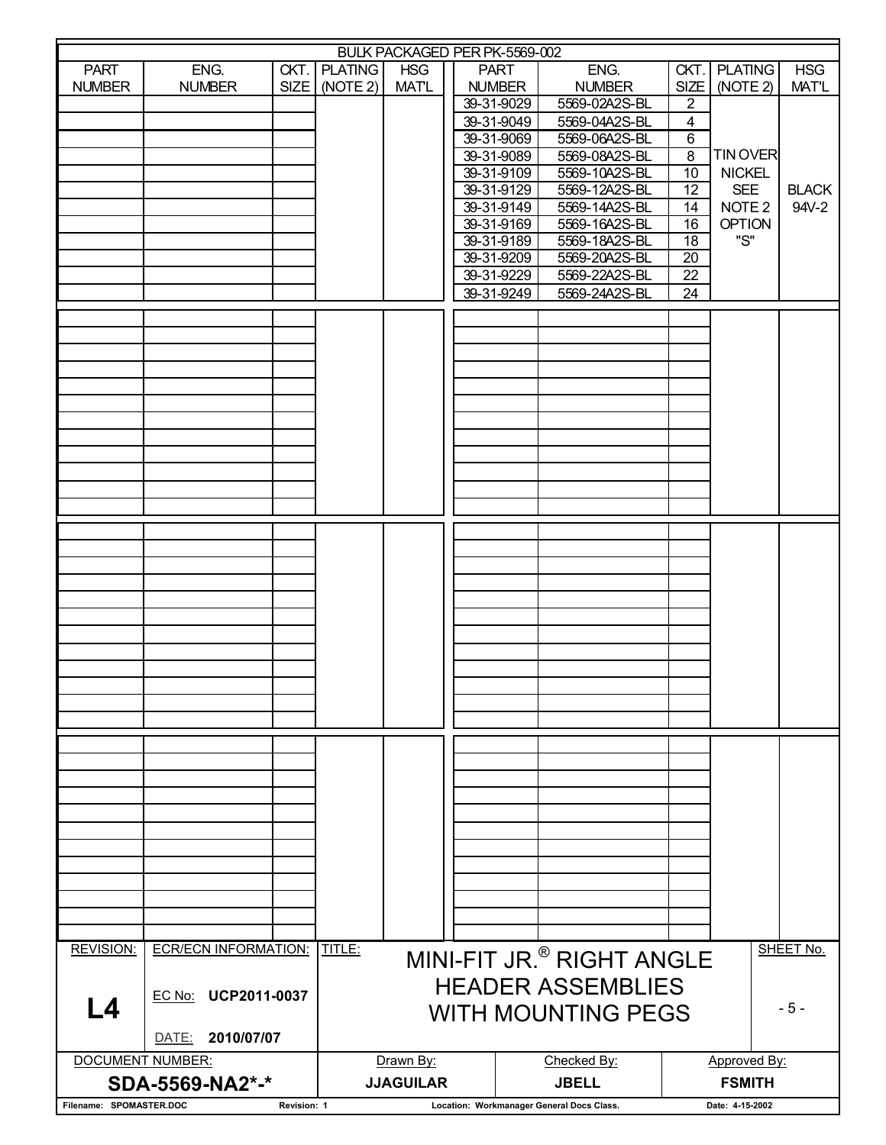| BULK PACKAGED PER PK-5569-002          |                             |  |                     |                  |  |                          |                                           |                 |                                    |              |
|----------------------------------------|-----------------------------|--|---------------------|------------------|--|--------------------------|-------------------------------------------|-----------------|------------------------------------|--------------|
| <b>PART</b>                            | ENG.                        |  | <b>CKT. PLATING</b> | <b>HSG</b>       |  | <b>PART</b>              | ENG.                                      | CKT.            | <b>PLATING</b>                     | <b>HSG</b>   |
| <b>NUMBER</b>                          | <b>NUMBER</b>               |  | SIZE   (NOTE 2)     | <b>MATL</b>      |  | <b>NUMBER</b>            | <b>NUMBER</b>                             | <b>SIZE</b>     | (NOTE 2)                           | MAT'L        |
|                                        |                             |  |                     |                  |  | 39-31-9029               | 5569-02A2S-BL                             | $\overline{2}$  |                                    |              |
|                                        |                             |  |                     |                  |  | 39-31-9049               | 5569-04A2S-BL                             | $\overline{4}$  |                                    |              |
|                                        |                             |  |                     |                  |  | 39-31-9069               | 5569-06A2S-BL                             | 6               |                                    |              |
|                                        |                             |  |                     |                  |  | 39-31-9089               | 5569-08A2S-BL                             | $\overline{8}$  | <b>TIN OVER</b>                    |              |
|                                        |                             |  |                     |                  |  | 39-31-9109               | 5569-10A2S-BL                             | 10              | <b>NICKEL</b>                      |              |
|                                        |                             |  |                     |                  |  | 39-31-9129               | 5569-12A2S-BL                             | 12              | <b>SEE</b>                         | <b>BLACK</b> |
|                                        |                             |  |                     |                  |  | 39-31-9149               | 5569-14A2S-BL                             | 14              | NOTE <sub>2</sub><br><b>OPTION</b> | 94V-2        |
|                                        |                             |  |                     |                  |  | 39-31-9169<br>39-31-9189 | 5569-16A2S-BL<br>5569-18A2S-BL            | 16<br>18        | "S"                                |              |
|                                        |                             |  |                     |                  |  | 39-31-9209               | 5569-20A2S-BL                             | 20              |                                    |              |
|                                        |                             |  |                     |                  |  | 39-31-9229               | 5569-22A2S-BL                             | 22              |                                    |              |
|                                        |                             |  |                     |                  |  | 39-31-9249               | 5569-24A2S-BL                             | 24              |                                    |              |
|                                        |                             |  |                     |                  |  |                          |                                           |                 |                                    |              |
|                                        |                             |  |                     |                  |  |                          |                                           |                 |                                    |              |
|                                        |                             |  |                     |                  |  |                          |                                           |                 |                                    |              |
|                                        |                             |  |                     |                  |  |                          |                                           |                 |                                    |              |
|                                        |                             |  |                     |                  |  |                          |                                           |                 |                                    |              |
|                                        |                             |  |                     |                  |  |                          |                                           |                 |                                    |              |
|                                        |                             |  |                     |                  |  |                          |                                           |                 |                                    |              |
|                                        |                             |  |                     |                  |  |                          |                                           |                 |                                    |              |
|                                        |                             |  |                     |                  |  |                          |                                           |                 |                                    |              |
|                                        |                             |  |                     |                  |  |                          |                                           |                 |                                    |              |
|                                        |                             |  |                     |                  |  |                          |                                           |                 |                                    |              |
|                                        |                             |  |                     |                  |  |                          |                                           |                 |                                    |              |
|                                        |                             |  |                     |                  |  |                          |                                           |                 |                                    |              |
|                                        |                             |  |                     |                  |  |                          |                                           |                 |                                    |              |
|                                        |                             |  |                     |                  |  |                          |                                           |                 |                                    |              |
|                                        |                             |  |                     |                  |  |                          |                                           |                 |                                    |              |
|                                        |                             |  |                     |                  |  |                          |                                           |                 |                                    |              |
|                                        |                             |  |                     |                  |  |                          |                                           |                 |                                    |              |
|                                        |                             |  |                     |                  |  |                          |                                           |                 |                                    |              |
|                                        |                             |  |                     |                  |  |                          |                                           |                 |                                    |              |
|                                        |                             |  |                     |                  |  |                          |                                           |                 |                                    |              |
|                                        |                             |  |                     |                  |  |                          |                                           |                 |                                    |              |
|                                        |                             |  |                     |                  |  |                          |                                           |                 |                                    |              |
|                                        |                             |  |                     |                  |  |                          |                                           |                 |                                    |              |
|                                        |                             |  |                     |                  |  |                          |                                           |                 |                                    |              |
|                                        |                             |  |                     |                  |  |                          |                                           |                 |                                    |              |
|                                        |                             |  |                     |                  |  |                          |                                           |                 |                                    |              |
|                                        |                             |  |                     |                  |  |                          |                                           |                 |                                    |              |
|                                        |                             |  |                     |                  |  |                          |                                           |                 |                                    |              |
|                                        |                             |  |                     |                  |  |                          |                                           |                 |                                    |              |
|                                        |                             |  |                     |                  |  |                          |                                           |                 |                                    |              |
|                                        |                             |  |                     |                  |  |                          |                                           |                 |                                    |              |
|                                        |                             |  |                     |                  |  |                          |                                           |                 |                                    |              |
|                                        |                             |  |                     |                  |  |                          |                                           |                 |                                    |              |
|                                        |                             |  |                     |                  |  |                          |                                           |                 |                                    |              |
| <b>REVISION:</b>                       | <b>ECR/ECN INFORMATION:</b> |  | TITLE:              |                  |  |                          |                                           |                 |                                    | SHEET No.    |
|                                        |                             |  |                     |                  |  |                          | MINI-FIT JR. <sup>®</sup> RIGHT ANGLE     |                 |                                    |              |
|                                        |                             |  |                     |                  |  |                          | <b>HEADER ASSEMBLIES</b>                  |                 |                                    |              |
|                                        |                             |  |                     |                  |  |                          |                                           |                 |                                    |              |
| EC No: UCP2011-0037<br>L4              |                             |  |                     |                  |  |                          | <b>WITH MOUNTING PEGS</b>                 |                 |                                    | $-5-$        |
|                                        | 2010/07/07<br>DATE:         |  |                     |                  |  |                          |                                           |                 |                                    |              |
|                                        |                             |  |                     |                  |  |                          |                                           |                 |                                    |              |
|                                        | DOCUMENT NUMBER:            |  |                     | Drawn By:        |  |                          | Checked By:                               | Approved By:    |                                    |              |
|                                        | SDA-5569-NA2*-*             |  |                     | <b>JJAGUILAR</b> |  |                          | <b>JBELL</b>                              |                 | <b>FSMITH</b>                      |              |
| Filename: SPOMASTER.DOC<br>Revision: 1 |                             |  |                     |                  |  |                          | Location: Workmanager General Docs Class. | Date: 4-15-2002 |                                    |              |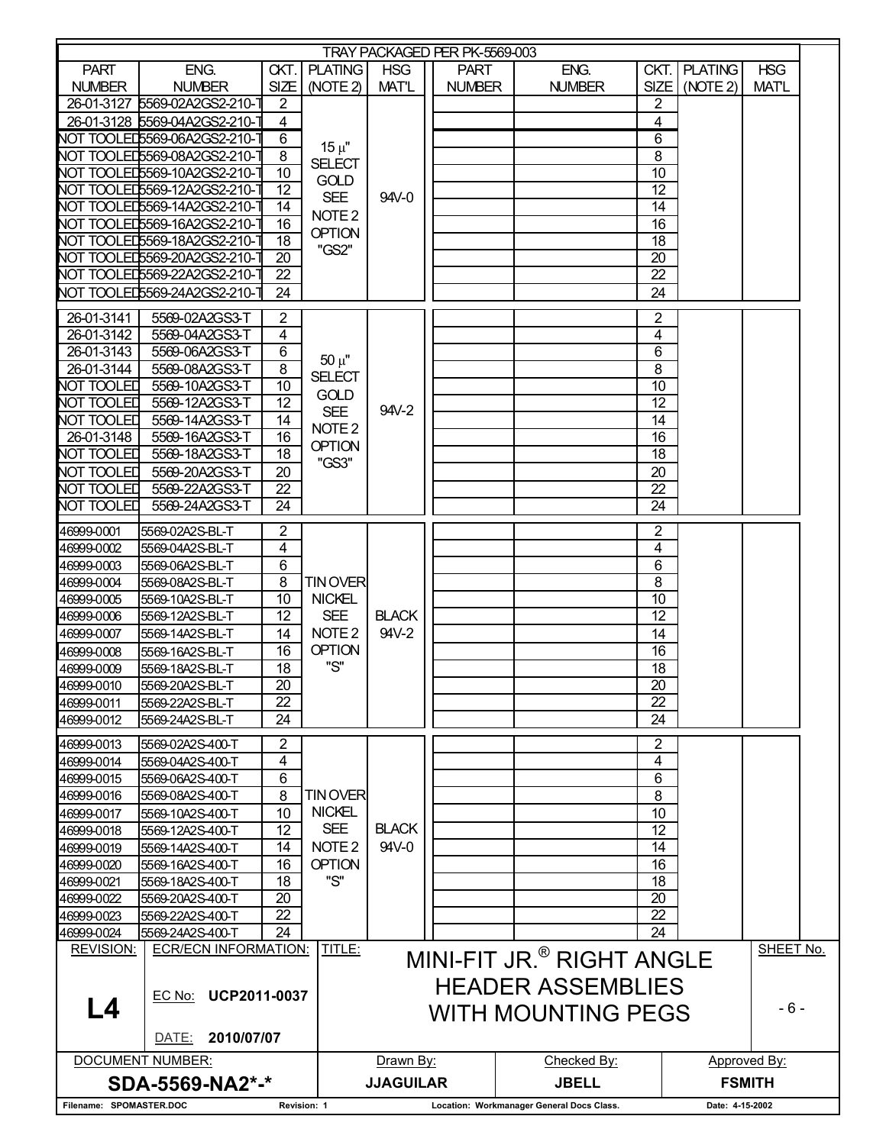| TRAY PACKAGED PER PK-5569-003          |                                                           |                 |                   |                  |               |              |                                           |                   |                     |               |  |  |
|----------------------------------------|-----------------------------------------------------------|-----------------|-------------------|------------------|---------------|--------------|-------------------------------------------|-------------------|---------------------|---------------|--|--|
| <b>PART</b>                            | ENG.                                                      | CKT.            | <b>PLATING</b>    | <b>HSG</b>       | <b>PART</b>   |              | ENG.                                      |                   | <b>CKT. PLATING</b> | <b>HSG</b>    |  |  |
| <b>NUMBER</b>                          | <b>NUMBER</b>                                             | SIZE            | (NOTE 2)          | <b>MAT'L</b>     | <b>NUMBER</b> |              | <b>NUMBER</b>                             | SIZE <sup>1</sup> | (NOTE 2)            | <b>MATL</b>   |  |  |
|                                        |                                                           |                 |                   |                  |               |              |                                           |                   |                     |               |  |  |
|                                        | 26-01-3127 5569-02A2GS2-210-                              | 2               |                   |                  |               |              |                                           | 2                 |                     |               |  |  |
|                                        | 26-01-3128 5569-04A2GS2-210-1                             | 4               |                   |                  |               |              |                                           | 4                 |                     |               |  |  |
|                                        | NOT TOOLED5569-06A2GS2-210-7                              | 6               | $15 \mu$ "        |                  |               |              |                                           | 6                 |                     |               |  |  |
|                                        | NOT TOOLED5569-08A2GS2-210-7                              | 8               | <b>SELECT</b>     |                  |               |              |                                           | 8                 |                     |               |  |  |
|                                        | NOT TOOLED5569-10A2GS2-210-7                              | $\overline{10}$ |                   |                  |               |              |                                           | 10                |                     |               |  |  |
|                                        | NOT TOOLED5569-12A2GS2-210-7                              | 12              | <b>GOLD</b>       |                  |               |              |                                           | 12                |                     |               |  |  |
|                                        | NOT TOOLED5569-14A2GS2-210-7                              | 14              | <b>SEE</b>        | 94V-0            |               |              |                                           | 14                |                     |               |  |  |
|                                        | NOT TOOLED5569-16A2GS2-210-                               | 16              | NOTE <sub>2</sub> |                  |               |              |                                           | 16                |                     |               |  |  |
|                                        | <b>NOT TOOLED5569-18A2GS2-210-</b>                        | 18              | <b>OPTION</b>     |                  |               |              |                                           | 18                |                     |               |  |  |
|                                        |                                                           |                 | "GS2"             |                  |               |              |                                           | $\overline{20}$   |                     |               |  |  |
|                                        | NOT TOOLED5569-20A2GS2-210-1                              | 20              |                   |                  |               |              |                                           |                   |                     |               |  |  |
|                                        | NOT TOOLED5569-22A2GS2-210-                               | 22              |                   |                  |               |              |                                           | 22                |                     |               |  |  |
|                                        | NOT TOOLED5569-24A2GS2-210-                               | 24              |                   |                  |               |              |                                           | 24                |                     |               |  |  |
| 26-01-3141                             | 5569-02A2GS3-T                                            | $\overline{2}$  |                   |                  |               |              |                                           | $\overline{2}$    |                     |               |  |  |
|                                        |                                                           |                 |                   |                  |               |              |                                           |                   |                     |               |  |  |
| 26-01-3142                             | 5569-04A2GS3-T                                            | 4               |                   |                  |               |              |                                           | 4                 |                     |               |  |  |
| 26-01-3143                             | 5569-06A2GS3-T                                            | 6               | $50 \mu"$         |                  |               |              |                                           | 6                 |                     |               |  |  |
| 26-01-3144                             | 5569-08A2GS3-T                                            | 8               | <b>SELECT</b>     |                  |               |              |                                           | $\overline{8}$    |                     |               |  |  |
| NOT TOOLED                             | 5569-10A2GS3-T                                            | 10              | <b>GOLD</b>       |                  |               |              |                                           | 10                |                     |               |  |  |
| <b>NOT TOOLED</b>                      | 5569-12A2GS3-T                                            | 12              | <b>SEE</b>        | $94V-2$          |               |              |                                           | $\overline{12}$   |                     |               |  |  |
| NOT TOOLED                             | 5569-14A2GS3-T                                            | 14              |                   |                  |               |              |                                           | $\overline{14}$   |                     |               |  |  |
| 26-01-3148                             | 5569-16A2GS3-T                                            | 16              | NOTE <sub>2</sub> |                  |               |              |                                           | 16                |                     |               |  |  |
| <b>NOT TOOLED</b>                      | 5569-18A2GS3-T                                            | 18              | <b>OPTION</b>     |                  |               |              |                                           | 18                |                     |               |  |  |
| NOT TOOLED                             | 5569-20A2GS3-T                                            | 20              | "GS3"             |                  |               |              |                                           | 20                |                     |               |  |  |
| <b>NOT TOOLED</b>                      | 5569-22A2GS3-T                                            | 22              |                   |                  |               |              |                                           | 22                |                     |               |  |  |
| NOT TOOLED                             | 5569-24A2GS3-T                                            | 24              |                   |                  |               |              |                                           | 24                |                     |               |  |  |
|                                        |                                                           |                 |                   |                  |               |              |                                           |                   |                     |               |  |  |
| 46999-0001                             | 5569-02A2S-BL-T                                           | $\overline{2}$  |                   |                  |               |              |                                           | $\overline{2}$    |                     |               |  |  |
| 46999-0002                             | 5569-04A2S-BL-T                                           | 4               |                   |                  |               |              |                                           | 4                 |                     |               |  |  |
| 46999-0003                             | 5569-06A2S-BL-T                                           | 6               |                   |                  |               |              |                                           | 6                 |                     |               |  |  |
| 46999-0004                             | 5569-08A2S-BL-T                                           | 8               | <b>TINOVER</b>    |                  |               |              |                                           | 8                 |                     |               |  |  |
| 46999-0005                             | 5569-10A2S-BL-T                                           | 10              | <b>NICKEL</b>     |                  |               |              |                                           | 10                |                     |               |  |  |
| 46999-0006                             | 5569-12A2S-BL-T                                           | 12              | <b>SEE</b>        | <b>BLACK</b>     |               |              |                                           | 12                |                     |               |  |  |
| 46999-0007                             | 5569-14A2S-BL-T                                           | 14              | NOTE <sub>2</sub> | 94V-2            |               |              |                                           | 14                |                     |               |  |  |
| 46999-0008                             | 5569-16A2S-BL-T                                           | 16              | <b>OPTION</b>     |                  |               |              |                                           | 16                |                     |               |  |  |
| 46999-0009                             | 5569-18A2S-BL-T                                           | 18              | "S"               |                  |               |              |                                           | 18                |                     |               |  |  |
| 46999-0010                             | 5569-20A2S-BL-T                                           | 20              |                   |                  |               |              |                                           | 20                |                     |               |  |  |
|                                        |                                                           |                 |                   |                  |               |              |                                           |                   |                     |               |  |  |
| 46999-0011                             | 5569-22A2S-BL-T                                           | 22              |                   |                  |               |              |                                           | 22                |                     |               |  |  |
| 46999-0012                             | 5569-24A2S-BL-T                                           | 24              |                   |                  |               |              |                                           | $\overline{24}$   |                     |               |  |  |
| 46999-0013                             | 5569-02A2S-400-T                                          | $\overline{2}$  |                   |                  |               |              |                                           | 2                 |                     |               |  |  |
| 46999-0014                             | 5569-04A2S-400-T                                          | 4               |                   |                  |               |              |                                           | 4                 |                     |               |  |  |
| 46999-0015                             | 5569-06A2S-400-T                                          | 6               |                   |                  |               |              |                                           | 6                 |                     |               |  |  |
| 46999-0016                             | 5569-08A2S-400-T                                          | 8               | <b>TINOVER</b>    |                  |               |              |                                           | 8                 |                     |               |  |  |
| 46999-0017                             | 5569-10A2S-400-T                                          | 10              | <b>NICKEL</b>     |                  |               |              |                                           | 10                |                     |               |  |  |
| 46999-0018                             | 5569-12A2S-400-T                                          | 12              | <b>SEE</b>        | <b>BLACK</b>     |               |              |                                           | $\overline{12}$   |                     |               |  |  |
| 46999-0019                             | 5569-14A2S-400-T                                          | 14              | NOTE <sub>2</sub> | 94V-0            |               |              |                                           | $\overline{14}$   |                     |               |  |  |
| 46999-0020                             |                                                           | 16              | <b>OPTION</b>     |                  |               |              |                                           | 16                |                     |               |  |  |
|                                        | 5569-16A2S-400-T                                          | 18              | "S"               |                  |               |              |                                           |                   |                     |               |  |  |
| 46999-0021                             | 5569-18A2S-400-T                                          |                 |                   |                  |               |              |                                           | 18                |                     |               |  |  |
| 46999-0022                             | 5569-20A2S-400-T                                          | 20              |                   |                  |               |              |                                           | $\overline{20}$   |                     |               |  |  |
| 46999-0023                             | 5569-22A2S-400-T                                          | 22              |                   |                  |               |              |                                           | 22                |                     |               |  |  |
| 46999-0024                             | 5569-24A2S-400-T                                          | 24              |                   |                  |               |              |                                           | $\overline{24}$   |                     |               |  |  |
| <b>REVISION:</b>                       | <b>ECR/ECN INFORMATION:</b>                               |                 | TITLE:            |                  |               |              | MINI-FIT JR. <sup>®</sup> RIGHT ANGLE     |                   |                     | SHEET No.     |  |  |
|                                        |                                                           |                 |                   |                  |               |              |                                           |                   |                     |               |  |  |
|                                        |                                                           |                 |                   |                  |               |              | <b>HEADER ASSEMBLIES</b>                  |                   |                     |               |  |  |
| L4                                     | EC No: UCP2011-0037<br>$-6-$<br><b>WITH MOUNTING PEGS</b> |                 |                   |                  |               |              |                                           |                   |                     |               |  |  |
|                                        |                                                           |                 |                   |                  |               |              |                                           |                   |                     |               |  |  |
|                                        | 2010/07/07<br>DATE:                                       |                 |                   |                  |               |              |                                           |                   |                     |               |  |  |
|                                        |                                                           |                 |                   |                  |               |              |                                           |                   |                     |               |  |  |
|                                        | <b>DOCUMENT NUMBER:</b>                                   |                 |                   | Drawn By:        |               |              | Checked By:                               |                   |                     | Approved By:  |  |  |
|                                        | SDA-5569-NA2*-*                                           |                 |                   | <b>JJAGUILAR</b> |               | <b>JBELL</b> |                                           |                   |                     | <b>FSMITH</b> |  |  |
| Filename: SPOMASTER.DOC<br>Revision: 1 |                                                           |                 |                   |                  |               |              | Location: Workmanager General Docs Class. |                   | Date: 4-15-2002     |               |  |  |